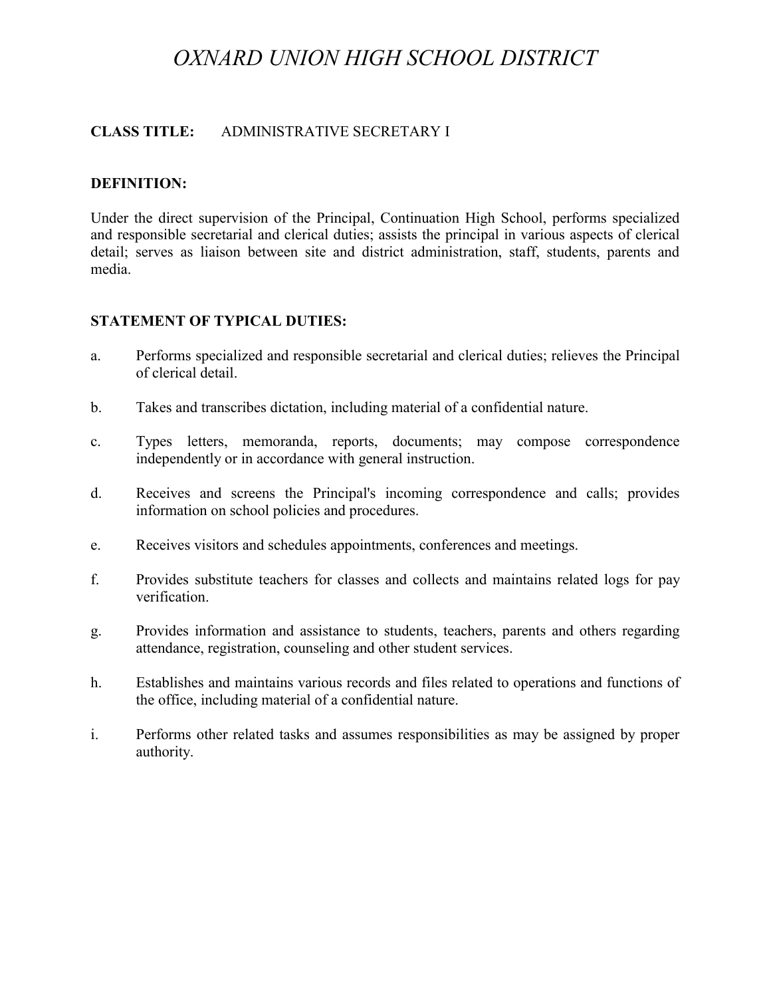# *OXNARD UNION HIGH SCHOOL DISTRICT*

### **CLASS TITLE:** ADMINISTRATIVE SECRETARY I

#### **DEFINITION:**

Under the direct supervision of the Principal, Continuation High School, performs specialized and responsible secretarial and clerical duties; assists the principal in various aspects of clerical detail; serves as liaison between site and district administration, staff, students, parents and media.

#### **STATEMENT OF TYPICAL DUTIES:**

- a. Performs specialized and responsible secretarial and clerical duties; relieves the Principal of clerical detail.
- b. Takes and transcribes dictation, including material of a confidential nature.
- c. Types letters, memoranda, reports, documents; may compose correspondence independently or in accordance with general instruction.
- d. Receives and screens the Principal's incoming correspondence and calls; provides information on school policies and procedures.
- e. Receives visitors and schedules appointments, conferences and meetings.
- f. Provides substitute teachers for classes and collects and maintains related logs for pay verification.
- g. Provides information and assistance to students, teachers, parents and others regarding attendance, registration, counseling and other student services.
- h. Establishes and maintains various records and files related to operations and functions of the office, including material of a confidential nature.
- i. Performs other related tasks and assumes responsibilities as may be assigned by proper authority.